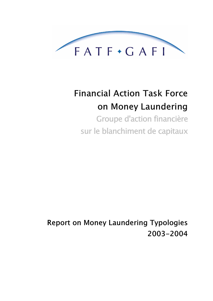

# **Financial Action Task Force** on Money Laundering Groupe d'action financière

sur le blanchiment de capitaux

**Report on Money Laundering Typologies** 2003-2004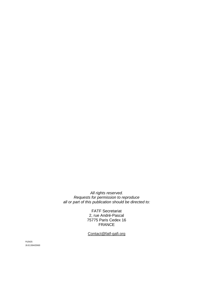All rights reserved. Requests for permission to reproduce all or part of this publication should be directed to:

> FATF Secretariat 2, rue André-Pascal 75775 Paris Cedex 16 FRANCE

Contact@fatf-gafi.org

PLEN/25 26.02.2004//20h00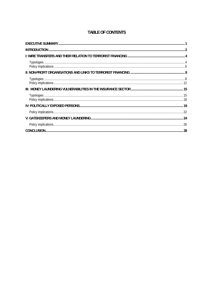# **TABLE OF CONTENTS**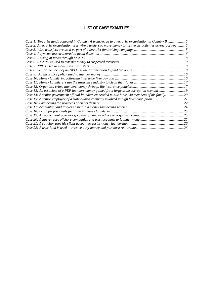# **LIST OF CASE EXAMPLES**

| Case 1: Terrorist funds collected in Country A transferred to a terrorist organisation in Country B 5         |  |
|---------------------------------------------------------------------------------------------------------------|--|
| Case 2: A terrorist organisation uses wire transfers to move money to further its activities across borders 5 |  |
|                                                                                                               |  |
|                                                                                                               |  |
|                                                                                                               |  |
|                                                                                                               |  |
|                                                                                                               |  |
|                                                                                                               |  |
|                                                                                                               |  |
|                                                                                                               |  |
|                                                                                                               |  |
|                                                                                                               |  |
| Case 13: An associate of a PEP launders money gained from large scale corruption scandal19                    |  |
| Case 14: A senior government official launders embezzled public funds via members of his family20             |  |
| Case 15: A senior employee of a state-owned company involved in high level corruption21                       |  |
|                                                                                                               |  |
|                                                                                                               |  |
|                                                                                                               |  |
|                                                                                                               |  |
|                                                                                                               |  |
|                                                                                                               |  |
|                                                                                                               |  |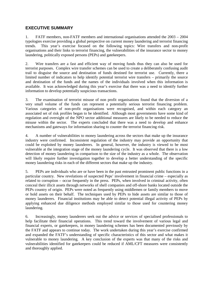# **EXECUTIVE SUMMARY**

1. FATF members, non-FATF members and international organisations attended the 2003 – 2004 typologies exercise providing a global perspective on current money laundering and terrorist financing trends. This year's exercise focused on the following topics: Wire transfers and non-profit organisations and their links to terrorist financing, the vulnerabilities of the insurance sector to money laundering, politically exposed persons (PEPs) and gatekeepers.

2. Wire transfers are a fast and efficient way of moving funds thus they can also be used for terrorist purposes. Complex wire transfer schemes can be used to create a deliberately confusing audit trail to disguise the source and destination of funds destined for terrorist use. Currently, there a limited number of indicators to help identify potential terrorist wire transfers – primarily the source and destination of the funds and the names of the individuals involved when this information is available. It was acknowledged during this year's exercise that there was a need to identify further information to develop potentially suspicious transactions.

3. The examination of terrorist misuse of non profit organisations found that the diversion of a very small volume of the funds can represent a potentially serious terrorist financing problem. Various categories of non-profit organisations were recognised, and within each category an associated set of risk profiles began to be identified. Although most governments have some kind of regulation and oversight of the NPO sector additional measures are likely to be needed to reduce the misuse within the sector. The experts concluded that there was a need to develop and enhance mechanisms and gateways for information sharing to counter the terrorist financing risk.

4. A number of vulnerabilities to money laundering across the sectors that make up the insurance industry were confirmed. Inconsistent regulation of the industry may provide an opportunity that could be exploited by money launderers. In general, however, the industry is viewed to be most vulnerable at the integration stage of the money laundering cycle. It was observed that there is a low detection of money laundering in comparison to the size of the industry as a whole. The observation will likely require further investigation together to develop a better understanding of the specific money laundering risks in each of the different sectors that make up the industry.

5. PEPs are individuals who are or have been in the past entrusted prominent public functions in a particular country. New revelations of suspected Peps' involvement in financial crime – especially as related to corruption – occur frequently in the press. PEPs, when involved in criminal activity, often conceal their illicit assets through networks of shell companies and off-shore banks located outside the PEPs country of origin. PEPs were noted as frequently using middlemen or family members to move or hold assets on their behalf. The techniques used by PEPs to hide assets are similar to those of money launderers. Financial institutions may be able to detect potential illegal activity of PEPs by applying enhanced due diligence methods employed similar to those used for countering money laundering.

6. Increasingly, money launderers seek out the advice or services of specialised professionals to help facilitate their financial operations. This trend toward the involvement of various legal and financial experts, or gatekeepers, in money laundering schemes has been documented previously by the FATF and appears to continue today. The work undertaken during this year's exercise confirmed and expanded the FATF's understanding of specific characteristics of this sector and what makes it vulnerable to money laundering. A key conclusion of the experts was that many of the risks and vulnerabilities identified for gatekeepers could be reduced if AML/CFT measures were consistently and thoroughly applied.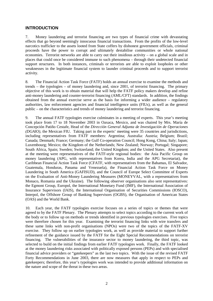#### **INTRODUCTION**

7. Money laundering and terrorist financing are two types of financial crime with devastating effects that go beyond seemingly innocuous financial transactions. From the profits of the low-level narcotics trafficker to the assets looted from State coffers by dishonest government officials, criminal proceeds have the power to corrupt and ultimately destabilise communities or whole national economies. Terrorist networks are able to carry out their insidious activity – on a global scale and in places that could once be considered immune to such phenomena – through their undetected financial support structures. In both instances, criminals or terrorists are able to exploit loopholes or other weaknesses in the legitimate financial system to launder criminal proceeds and to support terrorist activity.

8. The Financial Action Task Force (FATF) holds an annual exercise to examine the methods and trends – the typologies – of money laundering and, since 2001, of terrorist financing. The primary objective of this work is to obtain material that will help the FATF policy makers develop and refine anti-money laundering and counter-terrorist financing (AML/CFT) standards. In addition, the findings obtained from the annual exercise serve as the basis for informing a wider audience – regulatory authorities, law enforcement agencies and financial intelligence units (FIUs), as well as the general public – on the characteristics and trends of money laundering and terrorist financing.

9. The annual FATF typologies exercise culminates in a meeting of experts. This year's meeting took place from 17 to 18 November 2003 in Oaxaca, Mexico, and was chaired by Mrs. María de Concepción Patiño Cestafe, Head of the *Dirección General Adjunta de Investigación de Operaciones (DGAIO)*, the Mexican FIU. Taking part in the experts' meeting were 35 countries and jurisdictions, including representatives from FATF members: Argentina; Australia: Austria; Belgium; Brazil; Canada; Denmark; France; Germany; the Gulf Co-operation Council; Hong Kong, China; Italy; Japan; Luxembourg; Mexico; the Kingdom of the Netherlands; New Zealand; Norway; Portugal; Singapore; South Africa, Spain; Sweden; Switzerland; the United Kingdom; and the United States. Also present at the meeting were representatives of the FATF-style regional bodies: the Asia Pacific Group on money laundering (APG, with representatives from Korea, India and the APG Secretariat), the Caribbean Financial Action Task Force (CFATF, with representatives from the Bahamas, El Salvador, Guatemala, Honduras, Panama and Venezuela), the Financial Action Task Force on Money Laundering in South America (GAFISUD), and the Council of Europe Select Committee of Experts on the Evaluation of Anti-Money Laundering Measures (MONEYVAL, with a representatives from Monaco, Romania and the Ukraine). The following observer organisations also sent representatives: the Egmont Group, Europol, the International Monetary Fund (IMF), the International Association of Insurance Supervisors (IAIS), the International Organisation of Securities Commissions (IOSCO), Interpol, the Offshore Group of Banking Supervisors (OGBS), the Organisation of American States (OAS) and the World Bank.

10. Each year, the FATF typologies exercise focuses on a series of topics or themes that were agreed to by the FATF Plenary. The Plenary attempts to select topics according to the current work of the body or to follow up on methods or trends identified in previous typologies exercises. Five topics were therefore chosen for this year. Examining the terrorist financing links with wire transfers and these same links with non-profit organisations (NPOs) were two of the topics of the FATF-XV exercise. They follow up on earlier typologies work, as well as provide material to support further refinement of the guidance issued by the FATF for the Eight Special Recommendations on terrorist financing. The vulnerabilities of the insurance sector to money laundering, the third topic, was selected to build on the initial findings from earlier FATF typologies work. Finally, the FATF looked at the money laundering risks associated with politically exposed persons (PEPs) and with specialised financial advice providers or "gatekeepers" as the last two topics. With the issue of the revised FATF Forty Recommendations in June 2003, there are now measures that apply in respect to PEPs and gatekeepers; therefore, this year's typologies work was intended to provide additional information on the nature and scope of the threat in these two areas.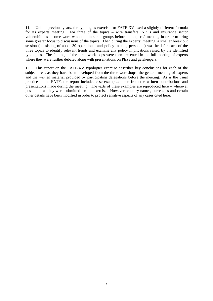11. Unlike previous years, the typologies exercise for FATF-XV used a slightly different formula for its experts meeting. For three of the topics – wire transfers, NPOs and insurance sector vulnerabilities – some work was done in small groups before the experts' meeting in order to bring some greater focus to discussions of the topics. Then during the experts' meeting, a smaller break out session (consisting of about 30 operational and policy making personnel) was held for each of the three topics to identify relevant trends and examine any policy implications raised by the identified typologies. The findings of the three workshops were then presented in the full meeting of experts where they were further debated along with presentations on PEPs and gatekeepers.

12. This report on the FATF-XV typologies exercise describes key conclusions for each of the subject areas as they have been developed from the three workshops, the general meeting of experts and the written material provided by participating delegations before the meeting. As is the usual practice of the FATF, the report includes case examples taken from the written contributions and presentations made during the meeting. The texts of these examples are reproduced here – wherever possible – as they were submitted for the exercise. However, country names, currencies and certain other details have been modified in order to protect sensitive aspects of any cases cited here.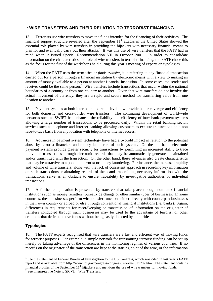# **I: WIRE TRANSFERS AND THEIR RELATION TO TERRORIST FINANCING**

13. Terrorists use wire transfers to move the funds intended for the financing of their activities. The financial support structure revealed after the September  $11<sup>th</sup>$  attacks in the United States showed the essential role played by wire transfers in providing the hijackers with necessary financial means to plan for and eventually carry out their attacks.<sup>1</sup> It was this use of wire transfers that the FATF had in mind when it issued Special Recommendation VII in October 2001. In order to consolidate information on the characteristics and role of wire transfers in terrorist financing, the FATF chose this as the focus for the first of the workshops held during this year's meeting of experts on typologies.

14. When the FATF uses the term *wire* or *funds transfer*, it is referring to any financial transaction carried out for a person through a financial institution by electronic means with a view to making an amount of money available to a person at another financial institution. In some cases, the sender and receiver could be the same person.<sup>2</sup> Wire transfers include transactions that occur within the national boundaries of a country or from one country to another. Given that wire transfers do not involve the actual movement of currency, they are a rapid and secure method for transferring value from one location to another.

15. Payment systems at both inter-bank and retail level now provide better coverage and efficiency for both domestic and cross-border wire transfers. The continuing development of world-wide networks such as SWIFT has enhanced the reliability and efficiency of inter-bank payment systems allowing a large number of transactions to be processed daily. Within the retail banking sector, services such as telephone and internet banking allowing customers to execute transactions on a non face-to-face basis from any location with telephone or internet access.

16. Advances in payment system technology have had a twofold impact in relation to the potential abuse by terrorist financiers and money launderers of such systems. On the one hand, electronic payment systems provide greater security for transactions by permitting an increased ability to trace individual transactions through electronic records that may be automatically generated, maintained and/or transmitted with the transaction. On the other hand, these advances also create characteristics that may be attractive to a potential terrorist or money laundering. For instance, the increased rapidity and volume of wire transfers, along with the lack of consistent approach in recording key information on such transactions, maintaining records of them and transmitting necessary information with the transactions, serve as an obstacle to ensure traceability by investigative authorities of individual transactions.

17. A further complication is presented by transfers that take place through non-bank financial institutions such as money remitters, bureaux de change or other similar types of businesses. In some countries, these businesses perform wire transfer functions either directly with counterpart businesses in their own country or abroad or else through conventional financial institutions (i.e. banks). Again, differences in requirements for recordkeeping or transmission of information on the originator of transfers conducted through such businesses may be used to the advantage of terrorist or other criminals that desire to move funds without being easily detected by authorities.

#### **Typologies**

18. The FATF experts recognised that wire transfers are a fast and efficient way of moving funds for terrorist purposes. For example, a simple network for transmitting terrorist funding can be set up merely by taking advantage of the differences in the monitoring regimes of various countries. If no records on the originator of the transaction are kept at the starting point of the wire, or the information

<sup>&</sup>lt;sup>1</sup> See the statement of Federal Bureau of Investigation to the US Congress, which was cited in last year's FATF report and is available from http://www.fbi.gov/congress/congress02/lormel021202.htm. The statement contains financial profiles of the September  $11<sup>th</sup>$  hijackers and mentions the use of wire transfers for moving funds.

 $2$  See Interpretative Note to SR VII: Wire Transfers.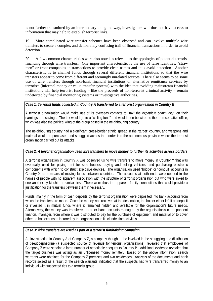is not further transmitted by an intermediary along the way, investigators will thus not have access to information that may help to establish terrorist links.

19. More complicated wire transfer schemes have been observed and can involve multiple wire transfers to create a complex and deliberately confusing trail of financial transactions in order to avoid detection.

20. A few common characteristics were also noted as relevant to the typologies of potential terrorist financing through wire transfers. One important characteristic is the use of false identities, "straw men" or front companies in transactions to provide clean names and thus avoid detection. Another characteristic is to channel funds through several different financial institutions so that the wire transfers appear to come from different and seemingly unrelated sources. There also seems to be some use of wire transfers through non-bank financial institutions or alternative remittance services by terrorists (informal money or value transfer systems) with the idea that avoiding mainstream financial institutions will help terrorist funding – like the proceeds of non-terrorist criminal activity – remain undetected by financial monitoring systems or investigative authorities.

#### *Case 1: Terrorist funds collected in Country A transferred to a terrorist organisation in Country B*

A terrorist organisation would make use of its overseas contacts to "tax" the *expatriate community* on their earnings and savings. The tax would go to a "calling fund" and would then be wired to the representative office, which was also the political wing of the group based in the neighbouring country.

The neighbouring country had a significant cross-border ethnic spread in the "target" country, and weapons and material would be purchased and smuggled across the border into the autonomous province where the terrorist organisation carried out its attacks.

#### *Case 2: A terrorist organisation uses wire transfers to move money to further its activities across borders*

A terrorist organisation in Country X was observed using wire transfers to move money in Country Y that was eventually used for paying rent for safe houses, buying and selling vehicles, and purchasing electronic components with which to construct explosive devices. The organisation used "bridge" or "conduit" accounts in Country X as a means of moving funds between countries. The accounts at both ends were opened in the names of people with no apparent association with the structure of terrorist organisation but who were linked to one another by kinship or similar ties. There were thus the apparent family connections that could provide a justification for the transfers between them if necessary.

Funds, mainly in the form of cash deposits by the terrorist organisation were deposited into bank accounts from which the transfers are made. Once the money was received at the destination, the holder either left it on deposit or invested it in mutual funds where it remained hidden and available for the organisation's future needs. Alternatively, the money was transferred to other bank accounts managed by the organisation's correspondent financial manager, from where it was distributed to pay for the purchase of equipment and material or to cover other ad hoc expenses incurred by the organisation in its clandestine activities

# *Case 3: Wire transfers are used as part of a terrorist fundraising campaign*

An investigation in Country A of Company Z, a company thought to be involved in the smuggling and distribution of pseudoephedrine (a suspected source of revenue for terrorist organisations), revealed that employees of Company Z were sending a large number of negotiable cheques to Country B. Additional evidence revealed that the target business was acting as an unlicensed money remitter. Based on the above information, search warrants were obtained for the Company Z premises and two residences. Analysis of the documents and bank records seized as a result of the search warrants indicated that the suspects had wire transferred money to an individual with suspected ties to a terrorist group.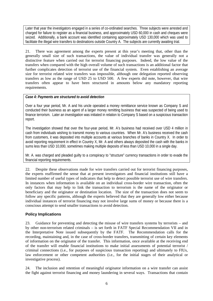Later that year the investigators engaged in a series of co-ordinated searches. Three subjects were arrested and charged for failure to register as a financial business, and approximately USD 60,000 in cash and cheques were seized. Additionally, a bank account was identified containing approximately USD 130,000 which was used to facilitate the illegal wire transfers to destinations outside Country A. The subjects are currently awaiting trial.

21. There was agreement among the experts present at this year's meeting that, other than the generally small size of such transactions, the value of individual transfer was generally not a distinctive feature when carried out for terrorist financing purposes. Indeed, the low value of the transfers when compared with the high overall volume of such transactions is an additional factor that further complicates detection of terrorist use of the financial system. Even establishing an average size for terrorist related wire transfers was impossible, although one delegation reported observing transfers as low as the range of USD 25 to USD 500. A few experts did note, however, that wire transfers often appear to have been structured in amounts below any mandatory reporting requirements.

#### *Case 4: Payments are structured to avoid detection*

Over a four year period, Mr. A and his uncle operated a money remittance service known as Company S and conducted their business as an agent of a larger money remitting business that was suspected of being used to finance terrorism. Later an investigation was initiated in relation to Company S based on a suspicious transaction report.

The investigation showed that over the four-year period, Mr. A's business had received over USD 4 million in cash from individuals wishing to transmit money to various countries. When Mr. A's business received the cash from customers, it was deposited into multiple accounts at various branches of banks in Country X. In order to avoid reporting requirement in effect in Country X, Mr. A and others always deposited the cash with the banks in sums less than USD 10,000, sometimes making multiple deposits of less than USD 10,000 in a single day.

Mr. A. was charged and pleaded guilty to a conspiracy to "structure" currency transactions in order to evade the financial reporting requirements.

22. Despite these observations made for wire transfers carried out for terrorist financing purposes, the experts reaffirmed the sense that at present investigators and financial institutions still have a limited number of useful types of indicators that help to detect possible terrorist use of wire transfers. In instances when information is available on an individual cross-border wire transaction, often the only factors that may help to link the transaction to terrorism is the name of the originator or beneficiary and the originator or destination location. The size of the transaction does not seem to follow any specific patterns, although the experts believed that they are generally low either because individual instances of terrorist financing may not involve large sums of money or because there is a conscious attempt to send smaller transactions to avoid detection.

# **Policy Implications**

23. Guidance for preventing and detecting the misuse of wire transfers systems by terrorists – and by other non-terrorism related criminals – is set forth in FATF Special Recommendation VII and in the Interpretative Note issued subsequently by the FATF. The Recommendation calls for the recording, maintaining and, in the case of cross-border transfers, transmitting of certain key elements of information on the originator of the transfer. This information, once available at the receiving end of the transfer will enable financial institutions to make initial assessments of potential terrorist / criminal connections (i.e., for purposes of suspicious transaction reporting) and ultimately to FIUs, law enforcement or other competent authorities (i.e., for the initial stages of their analytical or investigative process).

24. The inclusion and retention of meaningful originator information on a wire transfer can assist the fight against terrorist financing and money laundering in several ways. Transactions that contain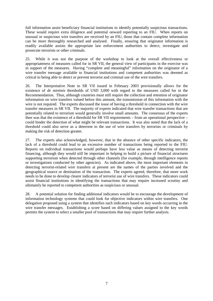full information assist beneficiary financial institutions to identify potentially suspicious transactions. These would require extra diligence and potential onward reporting to an FIU. When reports on unusual or suspicious wire transfers are received by an FIU, those that contain complete information can be more thoroughly researched and analysed. Finally, ensuring that originator information is readily available assists the appropriate law enforcement authorities to detect, investigate and prosecute terrorists or other criminals.

25. While it was not the purpose of the workshop to look at the overall effectiveness or appropriateness of measures called for in SR VII, the general view of participants in the exercise was in support of the measures. Having "complete and meaningful" information on the originator of a wire transfer message available to financial institutions and competent authorities was deemed as critical to being able to detect or prevent terrorist and criminal use of the wire transfers.

26. The Interpretative Note to SR VII issued in February 2003 provisionally allows for the existence of *de minimis* thresholds of USD 3,000 with regard to the measures called for in the Recommendation. Thus, although countries must still require the collection and retention of originator information on wire transfers valued below this amount, the transmission of this information with the wire is not required. The experts discussed the issue of having a threshold in connection with the wire transfer measures in SR VII. The majority of experts indicated that wire transfer transactions that are potentially related to terrorism would generally involve small amounts. The consensus of the experts then was that the existence of a threshold for SR VII requirements – from an operational perspective – could hinder the detection of what might be relevant transactions. It was also noted that the lack of a threshold could also serve as a deterrent to the use of wire transfers by terrorists or criminals by making the risk of detection greater.

27. The experts also acknowledged, however, that in the absence of other specific indicators, the lack of a threshold could lead to an excessive number of transactions being reported to the FIU. Reports on individual transactions would perhaps have less value as means of detecting terrorist financing, although they would still be important in helping to build a picture of financial structures supporting terrorism when detected through other channels (for example, through intelligence reports or investigations conducted by other agencies). As indicated above, the most important elements in detecting terrorist-related wire transfers at present are the names of the parties involved and the geographical source or destination of the transaction. The experts agreed, therefore, that more work needs to be done to develop clearer indicators of terrorist use of wire transfers. These indicators could assist financial institutions in identifying the transactions that may require increased scrutiny and ultimately be reported to competent authorities as suspicious or unusual.

28. A potential solution for finding additional indicators would be to encourage the development of information technology systems that could look for objective indicators within wire transfers. One delegation proposed using a system that identifies such indicators based on key words occurring in the wire transfer messages. Establishing a score based on differing values assigned to the key words permits the system to select a smaller pool of transactions that may require further analysis.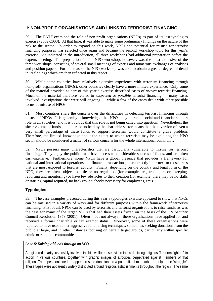# **II: NON-PROFIT ORGANISATIONS AND LINKS TO TERRORIST FINANCING**

29. The FATF examined the role of non-profit organisations (NPOs) as part of its last typologies exercise (2002-2003). At that time, it was able to make some preliminary findings on the nature of the risk to the sector. In order to expand on this work, NPOs and potential for misuse for terrorist financing purposes was selected once again and became the second workshop topic for this year's exercise. As indicated in the introduction, all three workshops had additional preparation before the experts meeting. The preparation for the NPO workshop, however, was the most extensive of the three workshops, consisting of several small meetings of experts and numerous exchanges of analyses and position papers. For this reason, the NPO workshop was able to obtain a greater degree of detail in its findings which are then reflected in this report.

30. While some countries have relatively extensive experience with terrorism financing through non-profit organisations (NPOs), other countries clearly have a more limited experience. Only some of the material provided as part of this year's exercise described cases of *proven* terrorist financing. Much of the material therefore related to *suspected* or *possible* terrorist financing — many cases involved investigations that were still ongoing — while a few of the cases dealt with other possible forms of misuse of NPOs.

31. Most countries share the concern over the difficulties in detecting terrorist financing through misuse of NPOs. It is generally acknowledged that NPOs play a crucial social and financial support role in all societies, and it is obvious that this role is not being called into question. Nevertheless, the sheer volume of funds and other assets held by the charitable sector means that the diversion of even a very small percentage of these funds to support terrorism would constitute a grave problem. Therefore, the limited knowledge about the extent to which terrorists may be exploiting the NPO sector should be considered a matter of serious concern for the whole international community.

32. NPOs possess many characteristics that are particularly vulnerable to misuse for terrorist financing. They enjoy the public trust, have access to considerable sources of funds, and are often cash-intensive. Furthermore, some NPOs have a global presence that provides a framework for national and international operations and financial transactions, often exactly in or next to those areas that are most exposed to terrorist activity. Finally, depending on the country and legal form of the NPO, they are often subject to little or no regulation (for example, registration, record keeping, reporting and monitoring) or have few obstacles to their creation (for example, there may be no skills or starting capital required, no background checks necessary for employees, etc.).

# **Typologies**

33. The case examples presented during this year's typologies exercise appeared to show that NPOs can be misused in a variety of ways and for different purposes within the framework of terrorism financing. First of all, NPOs can be used by terrorists and terrorist organisations to raise funds, as was the case for many of the larger NPOs that had their assets frozen on the basis of the UN Security Council Resolution 1373 (2001). Often – but not always – these organisations have applied for and received a formal charitable or tax exempt status. Moreover, some of these organisations were reported to have used rather aggressive fund raising techniques, sometimes seeking donations from the public at large, and in other instances focusing on certain target groups, particularly within specific ethnic or religious communities.

# *Case 5: Raising of funds through an NPO*

A registered charity, ostensibly involved in child welfare, used video tapes depicting religious "freedom fighters" in action in various countries, together with graphic images of atrocities perpetrated against members of that religion. The tapes contained an appeal to send donations to a post office box number to help in the "struggle". These tapes were apparently widely distributed around religious establishments throughout the region. The same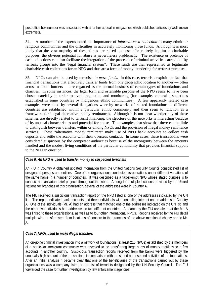post office box number was associated with a further appeal in magazines which published articles by well known extremists.

34. A number of the experts noted the importance of *informal cash collection* in many ethnic or religious communities and the difficulties in accurately monitoring those funds. Although it is most likely that the vast majority of these funds are raised and used for entirely legitimate charitable purposes, the obvious potential for abuse is nevertheless problematic. The existence or pretence of cash collections can also facilitate the integration of the proceeds of criminal activities carried out by terrorist groups into the "legal financial system". These funds are then represented as legitimate charitable cash collections for an NPO and thus are a form of money laundering for terrorist purposes.

35. NPOs can also be used by terrorists *to move funds.* In this case, terrorists exploit the fact that financial transactions that effectively transfer funds from one geographic location to another — often across national borders — are regarded as the normal business of certain types of foundations and charities. In some instances, the legal form and ostensible purpose of the NPO seems to have been chosen carefully in order to avoid regulation and monitoring (for example, cultural associations established in some countries by indigenous ethnic communities). A few apparently related case examples were cited by several delegations whereby networks of related foundations in different countries are established within a particular ethnic community and then seem to function as a framework for illegal alternative money remittances. Although it is not clear whether any of these schemes are directly related to terrorist financing, the structure of the networks is interesting because of its unusual characteristics and potential for abuse. The examples also show that there can be little to distinguish between transfers within or among NPOs and the provision of illegal money remittance services. These "alternative money remitters" make use of NPO bank accounts to collect cash deposits and settle the accounts with their overseas contacts. In some cases, these transactions were considered suspicious by the competent authorities because of the incongruity between the amounts handled and the modest living conditions of the particular community that provides financial support to the NPO in question.

# *Case 6: An NPO is used to transfer money to suspected terrorists*

An FIU in Country A obtained updated information from the United Nations Security Council consolidated list of designated persons and entities. One of the organisations conducted its operations under different variations of the same name in a number of countries. It was described as a tax-exempt NPO whose stated purpose is to conduct humanitarian relief projects throughout the world. Among the multiple locations provided by the United Nations for branches of this organisation, several of the addresses were in Country A.

The FIU received a suspicious transaction report on the NPO listed at one of the addresses indicated by the UN list. The report indicated bank accounts and three individuals with controlling interest on the address in Country A. One of the individuals (Mr. A) had an address that matched one of the addresses indicated on the UN list, and the other two individuals had addresses in two different countries. A search by the FIU revealed that the Mr. A was linked to these organisations, as well as to four other international NPOs. Reports received by the FIU detail multiple wire transfers sent from locations of concern to the branches of the above-mentioned charity and to Mr. A.

#### *Case 7: NPOs used to make illegal transfers*

An on-going criminal investigation into a network of foundations (at least 215 NPOs) established by the members of a particular immigrant community was revealed to be transferring large sums of money regularly to a few accounts in another country. Suspicious transaction reports received from the banks were triggered by the unusually high amount of the transactions in comparison with the stated purpose and activities of the foundations. After an initial analysis it became clear that one of the beneficiaries of the transactions carried out by these organisations was a company listed on the list of terrorists designated by the UN Security Council. The FIU forwarded the case for further investigation by law enforcement agencies.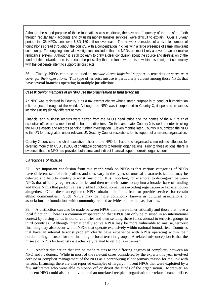Although the stated purpose of these foundations was charitable, the size and frequency of the transfers (both through regular bank accounts and by using money transfer services) were difficult to explain. Over a 3-year period, the 35 NPOs sent over USD 160 million overseas. The network consisted of a sizable number of foundations spread throughout the country, with a concentration in cities with a large presence of same immigrant community. The ongoing criminal investigation concluded that the NPOs are most likely a cover for an alternative remittance system. Although it is still too early to draw a clear conclusion about the source and destination of the funds of this network, there is at least the possibility that the funds were raised within this immigrant community with the deliberate intent to support terrorist acts.

36. Finally, NPOs can also be used to *provide direct logistical support* to terrorists or *serve as a cover for their operations.* This type of terrorist misuse is particularly evident among those NPOs that have several branches operating in multiple jurisdictions.

## *Case 8: Senior members of an NPO use the organisation to fund terrorism*

An NPO was registered in Country X as a tax-exempt charity whose stated purpose is to conduct humanitarian relief projects throughout the world. Although the NPO was incorporated in Country X, it operated in various locations using slightly different names.

Financial and business records were seized from the NPO's head office and the homes of the NPO's chief executive officer and a member of its board of directors. On the same date, Country X issued an order blocking the NPO's assets and records pending further investigation. Eleven months later, Country X submitted the NPO to the UN for designation under relevant UN Security Council resolutions for its support of a terrorist organisation.

Country X convicted the chief executive officer of the NPO for fraud and organised crime related offences for diverting more than USD 315,000 of charitable donations to terrorist organisations. Prior to these actions, there is evidence that the NPO had provided both direct and indirect financial support terrorist organisations.

#### Categories of misuse

37. An important conclusion from this year's work on NPOs is that various categories of NPOs have different sets of risk profiles and thus vary in the types of unusual characteristics that may be detected and help to identify terrorist financing. It is important, for example, to distinguish between NPOs that officially register as charities and then use their status to tap into a broader base of funding and those NPOs that perform a less visible function, sometimes avoiding registration or tax exemption altogether. Often these unregistered NPOs obtain their funds from or provide services for certain ethnic communities. Such NPOs may be more commonly known as cultural associations or associations or foundations with community-related activities rather than as charities.

38. A distinction can also be made between NPOs that operate internationally and those that have a local function. There is a common misperception that NPOs can only be misused in an international context by raising funds in donor countries and then sending these funds abroad to terrorist groups in third countries. Although internationally active NPOs may be more vulnerable to misuse, terrorist financing may also occur within NPOs that operate exclusively within national boundaries. Countries that have an internal terrorist problem clearly have experience with NPOs operating within their borders being misused for the financing of local terrorist groups. A related misconception is that the misuse of NPOs by terrorists is exclusively related to religious extremism.

39. Another distinction that can be made relates to the differing degrees of complicity between an NPO and its donors. While in most of the relevant cases considered by the experts this year involved corrupt or complicit management of the NPO as a contributing if not primary reason for the link with terrorist financing, there are also reported examples of largely innocent NPOs that were exploited by a few infiltrators who were able to siphon off or divert the funds of the organisation. Moreover, an innocent NPO could also be the victim of an unrelated recipient organisation or related branch office.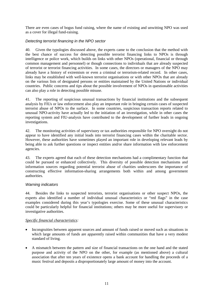There are even cases of bogus fund raising, where the name of existing and unwitting NPO was used as a cover for illegal fund-raising.

#### Detecting terrorist financing in the NPO sector

40. Given the typologies discussed above, the experts came to the conclusion that the method with the best chance of success for detecting possible terrorist financing links to NPOs is through intelligence or police work, which builds on links with other NPOs (operational, financial or through common management and personnel) or though connections to individuals that are already suspected of terrorist or terrorist financing activities. In some cases, the directors or managers of the NPO may already have a history of extremism or even a criminal or terrorism-related record. In other cases, links may be established with well-known terrorist organisations or with other NPOs that are already on the various lists of designated persons or entities maintained by the United Nations or individual countries. Public concerns and tips about the possible involvement of NPOs in questionable activities can also play a role in detecting possible misuse.

41. The reporting of suspicious unusual transactions by financial institutions and the subsequent analysis by FIUs or law enforcement also play an important role in bringing certain cases of suspected terrorist abuse of NPOs to the surface. In some countries, suspicious transaction reports related to unusual NPO-activity have actually led to the initiation of an investigation, while in other cases the reporting system and FIU-analysis have contributed to the development of further leads in ongoing investigations.

42. The monitoring activities of supervisory or tax authorities responsible for NPO oversight do not appear to have identified any initial leads into terrorist financing cases within the charitable sector. However, these authorities have sometimes played an important role in developing relevant leads by being able to ask further questions or inspect entities and/or share information with law enforcement agencies.

43. The experts agreed that each of these detection mechanisms had a complimentary function that could be pursued or enhanced collectively. This diversity of possible detection mechanisms and information sources regarding potential terrorist abuse of charities underscores the importance of constructing effective information-sharing arrangements both within and among government authorities.

#### Warning indicators

44. Besides the links to suspected terrorists, terrorist organisations or other suspect NPOs, the experts also identified a number of individual unusual characteristics or "red flags" in the case examples considered during this year's typologies exercise. Some of these unusual characteristics could be particularly helpful for financial institutions; others may be more useful for supervisory or investigative authorities.

#### *Specific financial characteristics:*

- Incongruities between apparent sources and amount of funds raised or moved such as situations in which large amounts of funds are apparently raised within communities that have a very modest standard of living.
- A mismatch between the pattern and size of financial transactions on the one hand and the stated purpose and activity of the NPO on the other, for example (as mentioned above) a cultural association that after ten years of existence opens a bank account for handling the proceeds of a music festival and deposits a disproportionately large amount of money into the account.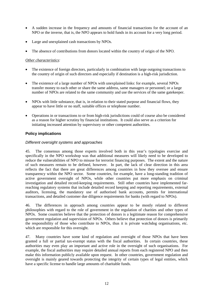- A sudden increase in the frequency and amounts of financial transactions for the account of an NPO or the inverse, that is, the NPO appears to hold funds in its account for a very long period.
- Large and unexplained cash transactions by NPOs.
- The absence of contributions from donors located within the country of origin of the NPO.

#### *Other characteristics:*

- The existence of foreign directors, particularly in combination with large outgoing transactions to the country of origin of such directors and especially if destination is a high-risk jurisdiction.
- The existence of a large number of NPOs with unexplained links: for example, several NPOs transfer money to each other or share the same address, same managers or personnel; or a large number of NPOs are related to the same community and use the services of the same gatekeeper.
- NPOs with little substance, that is, in relation to their stated purpose and financial flows, they appear to have little or no staff, suitable offices or telephone number.
- Operations in or transactions to or from high-risk jurisdictions could of course also be considered as a reason for higher scrutiny by financial institutions. It could also serve as a criterion for initiating increased attention by supervisory or other competent authorities.

#### **Policy implications**

#### Different oversight systems and approaches

45. The consensus among those experts involved both in this year's typologies exercise and specifically in the NPO workshop was that additional measures will likely need to be developed to reduce the vulnerabilities of NPO to misuse for terrorist financing purposes. The extent and the nature of such measures remain to be defined, however. In part, the lack of clear direction in this area reflects the fact that there are great differences among countries in how they oversee and ensure transparency within the NPO sector. Some countries, for example, have a long-standing tradition of active government oversight of NPOs, while other countries put more emphasis on criminal investigation and detailed record-keeping requirements. Still other countries have implemented farreaching regulatory systems that include detailed record keeping and reporting requirements, external auditors, licensing, the mandatory use of authorised bank accounts, permits for international transactions, and detailed customer due diligence requirements for banks (with regard to NPOs).

46. The differences in approach among countries appear to be mostly related to different philosophies with regard to the role of government in the regulation of charities and other types of NPOs. Some countries believe that the protection of donors is a legitimate reason for comprehensive government regulation and supervision of NPOs. Others believe that protection of donors is primarily the responsibility of those who contribute to NPOs, thus it is private watchdog organisations, etc. which are responsible for this oversight.

47. Many countries have some kind of regulation and oversight of those NPOs that have been granted a full or partial tax-exempt status with the fiscal authorities. In certain countries, these authorities may even play an important and active role in the oversight of such organisations. For example, the fiscal authorities may require detailed annual reports from each registered NPO and then make this information publicly available upon request. In other countries, government regulation and oversight is mainly geared towards protecting the integrity of certain types of legal entities, which have a specific license to handle large amounts of charitable funds.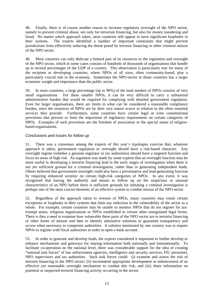48. Finally, there is of course another reason to increase regulatory oversight of the NPO sector, namely to prevent criminal abuse, not only for terrorism financing, but also for money laundering and fraud. No matter which approach taken, most countries still appear to have significant loopholes in their systems. The experts identified a number of important constraints that might prevent jurisdictions from effectively reducing the threat posed by terrorist financing or other criminal misuse of the NPO sector.

49. Most countries can only dedicate a limited part of its resources to the regulation and oversight of the NPO sector, which in some cases consists of hundreds of thousands of organisations that handle up to several percentages of the GDP of a country. This observation is particularly true for many of the recipient or developing countries, where NPOs of all sizes, often community-based, play a particularly crucial role in the economy. Sometimes the NPO-sector in those countries has a larger economic weight and importance than the public sector.

50. In most countries, a large percentage (up to 90%) of the total number of NPOs consists of very small organisations. For these smaller NPOs, it can be very difficult to carry a substantial administrative burden that would be required for complying with detailed government regulation. Even for larger organisations, there are limits to what can be considered a reasonable compliance burden, since the resources of NPOs are by their very nature scarce in relation to the often essential services they provide. Furthermore, some countries have certain legal or even constitutional provisions that prevent or limit the imposition of regulatory requirements on certain categories of NPOs. Examples of such provisions are the freedom of association or the special status of religionbased organisations.

#### Conclusions and issues for follow up

51. There was a consensus among the experts of this year's typologies exercise that, whatever approach is taken, government regulation or oversight should have a risk-based character. Any oversight regime (whether a genuine regulator or tax authorities) should have a targeted function and focus on areas of high risk. An argument was made by some experts that an oversight function may be more useful in developing a terrorist financing lead in the early stages of investigation when there is not yet sufficient ground for a criminal investigation, rather than in generating independent leads. Others believed that government oversight could also have a preventative and lead-generating function by requiring enhanced scrutiny on certain high-risk categories of NPOs. In any event, it was recognised that having the authority and means to follow up on the suspicious or unusual characteristics of an NPO before there is sufficient grounds for initiating a criminal investigation is perhaps one of the most crucial elements of an effective system to combat misuse of the NPO sector.

52. Regardless of the approach taken to oversee of NPOs, many countries may retain certain exceptions or loopholes in their systems that limit any reduction in the vulnerability of the sector as a whole. For example, certain countries may be unable to monitor NPOs that do not register for taxexempt status, religious organisations or NPOs established in certain other unregulated legal forms. There is thus a need to examine how vulnerable these parts of the NPO sector are to terrorist financing or other forms of misuse and then to identify alternative solutions to guarantee transparency and access when necessary to competent authorities. A solution mentioned by one country was to require NPOs to register with fiscal authorities in order to open a bank account.

53. In order to generate and develop leads, the experts considered it important to further develop or enhance mechanisms and gateways for sharing information both nationally and internationally. To facilitate co-operation on the national level, there was considerable support for the idea of creating "national task forces" of law enforcement agencies, intelligence and security services, FIU personnel, NPO supervisors and tax authorities. Such task forces could: (i) examine and assess the risk of terrorist financing in the NPO sector; (ii) recommend appropriate development or enhancement of an effective yet reasonable oversight mechanism to combat this risk, and (iii) share information on potential or suspected terrorist financing activity occurring in the sector.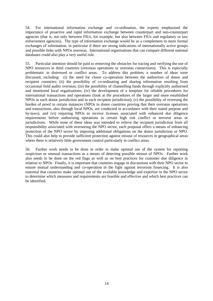54. For international information exchange and co-ordination, the experts emphasised the importance of proactive and rapid information exchange between counterpart and non-counterpart agencies (that is, not only between FIUs, for example, but also between FIUs and regulatory or law enforcement agencies). The type of information exchange would be as a complement to more formal exchanges of information, in particular if there are strong indications of internationally active groups and possible links with NPOs overseas. International organisations that can compare different national databases could also play a very useful role.

55. Particular attention should be paid to removing the obstacles for tracing and verifying the use of NPO resources in third countries (overseas operations or overseas connections). This is especially problematic in distressed or conflict areas. To address this problem, a number of ideas were discussed, including: (i) the need for closer co-operation between the authorities of donor and recipient countries; (ii) the possibility of co-ordinating and sharing information resulting from occasional field audits overseas; (iii) the possibility of channelling funds through explicitly authorised and monitored local organisations; (iv) the development of a template for reliable procedures for international transactions and operations (look at the procedures of the larger and more established NPOs in each donor jurisdiction and in each recipient jurisdiction); (v) the possibility of reversing the burden of proof in certain instances (NPOs in donor countries proving that their overseas operations and transactions, also through local NPOs, are conducted in accordance with their stated purpose and by-laws), and (vi) requiring NPOs to receive licenses associated with enhanced due diligence requirements before authorising operations in certain high risk conflict or terrorist areas or jurisdictions. While none of these ideas was intended to relieve the recipient jurisdiction from all responsibility associated with overseeing the NPO sector, each proposal offers a means of enhancing protection of the NPO sector by imposing additional obligations on the donor jurisdiction or NPO. This could also help to provide sufficient protection against misuse of resources in geographical areas where there is relatively little government control particularly in conflict areas.

56. Further work needs to be done in order to make optimal use of the system for reporting suspicious or unusual transactions as a means of detecting possible misuse of NPOs. Further work also needs to be done on the red flags as well as on best practices for customer due diligence in relation to NPOs. Finally, it is important that countries engage in discussions with their NPO sector to ensure mutual understanding and co-operation in the fight against terrorism financing. It is also essential that countries make optimal use of the available knowledge and expertise in the NPO sector to determine which measures and requirements are feasible and effective and which best practices can be identified.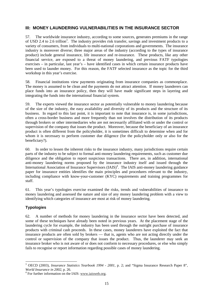# **III: MONEY LAUNDERING VULNERABILITIES IN THE INSURANCE SECTOR**

57. The worldwide insurance industry, according to some sources, generates premiums in the range of USD 2.4 to 2.6 trillion<sup>3</sup>. The industry provides risk transfer, savings and investment products to a variety of consumers, from individuals to multi-national corporations and governments. The insurance industry is moreover diverse; three major areas of the industry (according to the types of insurance product) include general insurance, life insurance and re-insurance. These products, like any other financial service, are exposed to a threat of money laundering, and previous FATF typologies exercises – in particular, last year's – have identified cases in which certain insurance products have been used to launder money. For this reason, the FATF selected insurance as the topic for the third workshop in this year's exercise.

58. Financial institutions view payments originating from insurance companies as commonplace. The money is assumed to be clean and the payments do not attract attention. If money launderers can place funds into an insurance policy, then they will have made significant steps in layering and integrating the funds into the international financial system.

59. The experts viewed the insurance sector as potentially vulnerable to money laundering because of the size of the industry, the easy availability and diversity of its products and the structure of its business. In regard to this last point, it is important to note that insurance is, in some jurisdictions, often a cross-border business and more frequently than not involves the distribution of its products through brokers or other intermediaries who are not necessarily affiliated with or under the control or supervision of the company that issues the product. Moreover, because the beneficiary of an insurance product is often different from the policyholder, it is sometimes difficult to determine when and for whom it is necessary to perform customer due diligence (for the policyholder only or also for the beneficiary?).

60. In order to lessen the inherent risks to the insurance industry, many jurisdictions require certain parts of the industry to be subject to formal anti-money laundering requirements, such as customer due diligence and the obligation to report suspicious transactions. There are, in addition, international anti-money laundering norms proposed by the insurance industry itself and issued through the International Association of Insurance Supervisors (IAIS)<sup>4</sup>. The IAIS anti-money laundering guidance paper for insurance entities identifies the main principles and procedures relevant to the industry, including compliance with know-your-customer (KYC) requirements and training programmes for staff.

61. This year's typologies exercise examined the risks, trends and vulnerabilities of insurance to money laundering and assessed the nature and size of any money laundering problem with a view to identifying which categories of insurance are most at risk of money laundering.

# **Typologies**

62. A number of methods for money laundering in the insurance sector have been detected, and some of these techniques have already been noted in previous years. At the placement stage of the laundering cycle for example, the industry has been used through the outright purchase of insurance products with criminal cash proceeds. In these cases, money launderers have exploited the fact that insurance products are often sold by brokers — that is, agents who are not acting directly under the control or supervision of the company that issues the product. Thus, the launderer may seek an insurance broker who is not aware of or does not conform to necessary procedures, or else who simply fails to recognise or report information regarding possible cases of money laundering.

 $\overline{a}$ 3 OECD (2003), *Insurance Statistics Yearbook 1994 - 2001*, p. 2; and "Sigma Insurance Research Paper 8", *World Insurance in 2002*, p. 26.

 $4$  For further information on the IAIS: www.iaisweb.org.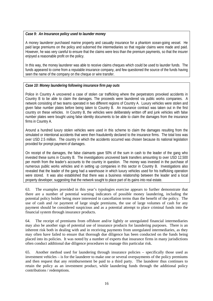#### *Case 9: An Insurance policy used to launder money*

A money launderer purchased marine property and casualty insurance for a phantom ocean-going vessel. He paid large premiums on the policy and suborned the intermediaries so that regular claims were made and paid. However, he was very careful to ensure that the claims were less than the premium payments, so that the insurer enjoyed a reasonable profit on the policy.

In this way, the money launderer was able to receive claims cheques which could be used to launder funds. The funds appeared to come from a reputable insurance company, and few questioned the source of the funds having seen the name of the company on the cheque or wire transfer.

#### *Case 10: Money laundering following insurance firm pay outs*

Police in Country A uncovered a case of stolen car trafficking where the perpetrators provoked accidents in Country B to be able to claim the damages. The proceeds were laundered via public works companies. A network consisting of two teams operated in two different regions of Country A. Luxury vehicles were stolen and given false number plates before being taken to Country B. An insurance contract was taken out in the first country on these vehicles. In Country B, the vehicles were deliberately written off and junk vehicles with false number plates were bought using false identity documents to be able to claim the damages from the insurance firms in Country A.

Around a hundred luxury stolen vehicles were used in this scheme to claim the damages resulting from the simulated or intentional accidents that were then fraudulently declared to the insurance firms. The total loss was over USD 2.5 million. The country in which the accidents occurred was chosen because its national legislation provided for prompt payment of damages.

On receipt of the damages, the false claimants gave 50% of the sum in cash to the leader of the gang who invested these sums in Country B. The investigations uncovered bank transfers amounting to over USD 12,500 per month from the leader's accounts to the country in question. The money was invested in the purchase of numerous public works vehicles and in setting up companies in this sector in Country B. Investigations also revealed that the leader of the gang had a warehouse in which luxury vehicles used for his trafficking operation were stored. It was also established that there was a business relationship between the leader and a local property developer, suggesting that the network sought to place part of its gains into real estate.

63. The examples provided in this year's typologies exercise appears to further demonstrate that there are a number of potential warning indicators of possible money laundering, including the potential policy holder being more interested in cancellation terms than the benefit of the policy. The use of cash and /or payment of large single premiums, the use of large volumes of cash for any payment should be considered suspicious and as a potential attempt to place criminal funds into the financial system through insurance products.

64. The receipt of premiums from offshore and/or lightly or unregulated financial intermediaries may also be another sign of potential use of insurance products for laundering purposes. There is an inherent risk both in dealing with and in receiving payments from unregulated intermediaries, as they may often have failed to ensure that thorough due diligence has been conducted on the funds being placed into its policies. It was noted by a number of experts that insurance firms in many jurisdictions often conduct additional due diligence procedures to manage this particular risk.

65. Another method used for laundering through insurance policies – specifically those used as investment vehicles – is for the launderer to make one or several overpayments of the policy premiums and then request that any reimbursement be paid to a third party. The launderer thus continues to retain the policy as an investment product, while laundering funds through the additional policy contributions / redemptions.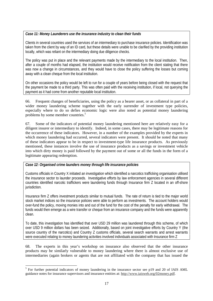#### *Case 11: Money Launderers use the insurance industry to clean their funds*

Clients in several countries used the services of an intermediary to purchase insurance policies. Identification was taken from the client by way of an ID card, but these details were unable to be clarified by the providing institution locally, which was reliant on the intermediary doing due diligence checks.

The policy was put in place and the relevant payments made by the intermediary to the local institution. Then, after a couple of months had elapsed, the institution would receive notification from the client stating that there was now a change in circumstances, and they would have to close the policy suffering the losses but coming away with a clean cheque from the local institution.

On other occasions the policy would be left to run for a couple of years before being closed with the request that the payment be made to a third party. This was often paid with the receiving institution, if local, not querying the payment as it had come from another reputable local institution.

66. Frequent changes of beneficiaries, using the policy as a bearer asset, or as collateral in part of a wider money laundering scheme together with the early surrender of investment type policies, especially where to do so defies economic logic were also noted as potential money laundering problems by some member countries.<sup>5</sup>

67. Some of the indicators of potential money laundering mentioned here are relatively easy for a diligent insurer or intermediary to identify. Indeed, in some cases, there may be legitimate reasons for the occurrence of these indicators. However, in a number of the examples provided by the experts in which money laundering had occurred, several indicators were present. It should be noted that many of these indicators appear to be in respect to investment-type life insurance products. As previously mentioned, these instances involve the use of insurance products as a savings or investment vehicle into which dirty money is paid followed by the payment out of some or all the funds in the form of a legitimate appearing redemption.

#### *Case 12: Organised crime launders money through life insurance policies*

 $\overline{a}$ 

Customs officials in Country X initiated an investigation which identified a narcotics trafficking organisation utilised the insurance sector to launder proceeds. Investigative efforts by law enforcement agencies in several different countries identified narcotic traffickers were laundering funds through Insurance firm Z located in an off-shore jurisdiction.

Insurance firm Z offers investment products similar to mutual funds. The rate of return is tied to the major world stock market indices so the insurance policies were able to perform as investments. The account holders would over-fund the policy, moving monies into and out of the fund for the cost of the penalty for early withdrawal. The funds would then emerge as a wire transfer or cheque from an insurance company and the funds were apparently clean.

To date, this investigation has identified that over USD 29 million was laundered through this scheme, of which over USD 9 million dollars has been seized. Additionally, based on joint investigative efforts by Country Y (the source country of the narcotics) and Country Z customs officials, several search warrants and arrest warrants were executed relating to money laundering activities involved individuals associated with Insurance firm Z

68. The experts in this year's workshop on insurance also observed that the other insurance products may be similarly vulnerable to money laundering where there is almost exclusive use of intermediaries (again brokers or agents that are not affiliated with the company that has issued the

<sup>&</sup>lt;sup>5</sup> For further potential indicators of money laundering in the insurance sector see p19 and 20 of IAIS AML guidance notes for insurance supervisors and insurance entities at: http://www.iaisweb.org/02money.pdf.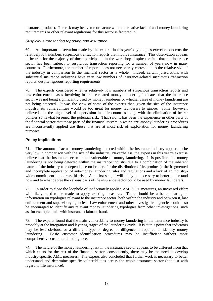insurance product). The risk may be even more acute when the relative lack of anti-money laundering requirements or other relevant regulations for this sector is factored in.

#### Suspicious transaction reporting and insurance

69. An important observation made by the experts in this year's typologies exercise concerns the relatively low numbers suspicious transaction reports that involve insurance. This observation appears to be true for the majority of those participants in the workshop despite the fact that the insurance sector has been subject to suspicious transaction reporting for a number of years now in many countries. Furthermore, the number of reports does not necessarily correspond to the relative size of the industry in comparison to the financial sector as a whole. Indeed, certain jurisdictions with substantial insurance industries have very low numbers of insurance-related suspicious transaction reports, despite rigorous reporting requirements.

70. The experts considered whether relatively low numbers of suspicious transaction reports and law enforcement cases involving insurance-related money laundering indicates that the insurance sector was not being significantly used by money launderers or whether cases of money laundering are not being detected. It was the view of some of the experts that, given the size of the insurance industry, its vulnerabilities would be too great for money launderers to ignore. Some, however, believed that the high level of supervision in their countries along with the elimination of bearer policies somewhat lessened the potential risk. That said, it has been the experience in other parts of the financial sector that those parts of the financial system in which anti-money laundering procedures are inconsistently applied are those that are at most risk of exploitation for money laundering purposes.

#### **Policy implications**

71. The amount of actual money laundering detected within the insurance industry appears to be very low in comparison with the size of the industry. Nevertheless, the experts in this year's exercise believe that the insurance sector is still vulnerable to money laundering. It is possible that money laundering is not being detected within the insurance industry due to a combination of the inherent nature of the industry (the dependence on brokers for the distribution of its products), the fragmented and incomplete application of anti-money laundering rules and regulations and a lack of an industrywide commitment to address this risk. As a first step, it will likely be necessary to better understand how and to what degree the various parts of the insurance sector could be used by money launderers.

72. In order to close the loophole of inadequately applied AML/CFT measures, an increased effort will likely need to be made to apply existing measures. There should be a better sharing of information on typologies relevant to the insurance sector, both within the industry and between it, law enforcement and supervisory agencies. Law enforcement and other investigative agencies could also be encouraged to identify any relevant money laundering typologies from other investigations, such as, for example, links with insurance claimant fraud.

73. The experts found that the main vulnerability to money laundering in the insurance industry is probably at the integration and layering stages of the laundering cycle. It is at this point that indicators may be less obvious, or a different type or degree of diligence is required to identify money laundering. Basic customer identification procedures may be insufficient without more comprehensive customer due diligence.

74. The nature of the money laundering risk in the insurance sector appears to be different from that which exists for the rest of the financial sector; consequently, there may be the need to develop industry-specific AML measures. The experts also concluded that further work is necessary to better understand and determine specific vulnerabilities across the whole insurance sector (not just with regard to life insurance).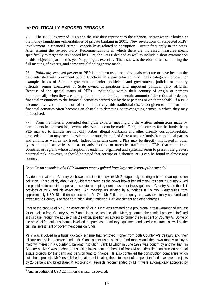# **IV: POLITICALLY EXPOSED PERSONS**

75. The FATF examined PEPs and the risk they represent to the financial sector when it looked at the money laundering vulnerabilities of private banking in 2001. New revelations of suspected PEPs' involvement in financial crime – especially as related to corruption – occur frequently in the press. After issuing the revised Forty Recommendations in which there are increased measures meant specifically to target the risk posed by PEPs, the FATF decided as well to include a short examination of this subject as part of this year's typologies exercise. The issue was therefore discussed during the full meeting of experts, and some initial findings were made.

76. *Politically exposed person* or *PEP* is the term used for individuals who are or have been in the past entrusted with prominent public functions in a particular country. This category includes, for example, heads of State or government; senior politicians and government, judicial or military officials; senior executives of State owned corporations and important political party officials. Because of the special status of PEPs – politically within their country of origin or perhaps diplomatically when they are acting abroad – there is often a certain amount of discretion afforded by financial institutions to the financial activities carried out by these persons or on their behalf. If a PEP becomes involved in some sort of criminal activity, this traditional discretion given to them for their financial activities often becomes an obstacle to detecting or investigating crimes in which they may be involved.

77. From the material presented during the experts' meeting and the written submissions made by participants in the exercise, several observations can be made. First, the sources for the funds that a PEP may try to launder are not only bribes, illegal kickbacks and other directly corruption-related proceeds but also may be embezzlement or outright theft of State assets or funds from political parties and unions, as well as tax fraud. Indeed in certain cases, a PEP may be directly implicated in other types of illegal activities such as organised crime or narcotics trafficking. PEPs that come from countries or regions where corruption is endemic, organised and systemic seem to present the greatest potential risk; however, it should be noted that corrupt or dishonest PEPs can be found in almost any country.

#### *Case 13: An associate of a PEP launders money gained from large scale corruption scandal*

A video tape aired in Country A showed presidential adviser Mr Z purportedly offering a bribe to an opposition politician. This publicity about Mr Z, widely regarded as the power broker behind then-President in Country A, led the president to appoint a special prosecutor prompting numerous other investigations in Country A into the illicit activities of Mr Z and his associates. An investigation initiated by authorities in Country B authorities froze approximately USD 48 million connected to Mr  $Z^6$ . Mr Z fled the country and was eventually captured and extradited to Country A to face corruption, drug trafficking, illicit enrichment and other charges.

Prior to the capture of Mr Z, an associate of Mr Z, Mr Y was arrested on a provisional arrest warrant and request for extradition from Country A. Mr Z and his associates, including Mr Y, generated the criminal proceeds forfeited in this case through the abuse of Mr Z's official position as advisor to former the President of Country A. Some of the principal fraudulent schemes involved the purchase of military equipment and service contracts as well as the criminal investment of government pension funds.

Mr Y was involved in a huge kickback scheme that removed money from both Country A's treasury and their military and police pension fund. Mr Y and others used pension fund money and their own money to buy a majority interest in a Country C banking institution, Bank M which in June 1999 was bought by another bank in Country A. Mr Y was in charge of seeking investments on behalf of Bank M and identified construction and real estate projects for the bank and pension fund to finance. He also controlled the construction companies which built those projects. Mr Y established a pattern of inflating the actual cost of the pension fund investment projects by 25 percent and billed Bank M accordingly. Projects recommended by Mr Y were automatically approved by

 $\overline{a}$ <sup>6</sup> And an additional USD 22 million was later discovered.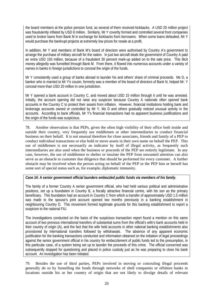the board members at the police pension fund, as several of them received kickbacks. A USD 25 million project was fraudulently inflated by USD 8 million. Similarly, Mr Y covertly formed and controlled several front companies used to broker loans from Bank M in exchange for kickbacks from borrowers. When some loans defaulted, Mr Y would purchase the bankrupt projects at extremely low prices for resale at a profit.

In addition, Mr Y and members of Bank M's board of directors were authorised by Country A's government to arrange the purchase of military aircraft for the nation. In just two aircraft deals the government of Country A paid an extra USD 150 million, because of a fraudulent 30 percent mark-up added on to the sale price. This illicit money allegedly was funnelled through Bank M. From there, it flowed into numerous accounts under a variety of names in banks in foreign jurisdictions to conceal the origin of the funds.

Mr Y consistently used a group of banks abroad to launder his and others' share of criminal proceeds. Ms D, a banker who is married to Mr Y's cousin, formerly was a member of the board of directors of Bank N, helped Mr. Y conceal more than USD 20 million in one jurisdiction.

Mr Y opened a bank account in Country C, and moved about USD 15 million through it until he was arrested. Initially, the account opening did not raise any suspicion because Country A nationals often opened bank accounts in the Country C to protect their assets from inflation. However, financial institutions holding bank and brokerage accounts owned or controlled by Mr Y, Ms D and others gradually noticed unusual activity in the accounts. According to bank officials, Mr Y's financial transactions had no apparent business justifications and the origin of the funds was suspicious.

78. Another observation is that PEPs, given the often high visibility of their office both inside and outside their country, very frequently use middlemen or other intermediaries to conduct financial business on their behalf. It is not unusual therefore for close associates, friends and family of a PEP to conduct individual transactions or else hold or move assets in their own name on behalf the PEP. This use of middlemen is not necessarily an indicator by itself of illegal activity, as frequently such intermediaries are also used when the business or proceeds of the PEP are entirely legitimate. In any case, however, the use of middlemen to shelter or insulate the PEP from unwanted attention can also serve as an obstacle to customer due diligence that should be performed for every customer. A further obstacle may be involved when the person acting on behalf of the PEP or the PEP him or herself has some sort of special status such as, for example, diplomatic immunity.

# *Case 14: A senior government official launders embezzled public funds via members of his family.*

The family of a former Country A senior government official, who had held various political and administrative positions, set up a foundation in Country B, a fiscally attractive financial centre, with his son as the primary beneficiary. This foundation had an account in Country C from which a transfer of approximately USD 1.5 million was made to the spouse's joint account opened two months previously in a banking establishment in neighbouring Country D. This movement formed legitimate grounds for this banking establishment to report a suspicion to the national FIU.

The investigations conducted on the basis of the suspicious transaction report found a mention on this same account of two previous international transfers of substantial sums from the official's wife's bank accounts held in their country of origin (A), and the fact that the wife held accounts in other national banking establishments also provisioned by international transfers followed by withdrawals. The absence of any apparent economic justification for the banking transactions conducted and information obtained on the initiation of legal proceedings against the senior government official in his country for embezzlement of public funds led to the presumption, in this particular case, of a system being set up to launder the proceeds of this crime. The official concerned was subsequently stopped for questioning and placed in police custody just as he was preparing to close his bank account. An investigation has been initiated.

79. Besides the use of third parties, PEPs involved in moving or concealing illegal proceeds generally do so by funnelling the funds through networks of shell companies or offshore banks in locations outside his or her country of origin that are not likely to divulge details of relevant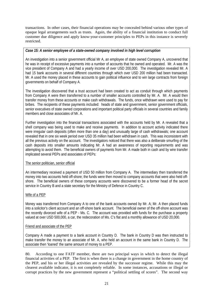transactions. In other cases, their financial operations may be concealed behind various other types of opaque legal arrangements such as trusts. Again, the ability of a financial institution to conduct full customer due diligence and apply know-your-customer principles to PEPs in this instance is severely restricted.

#### *Case 15: A senior employee of a state-owned company involved in high level corruption*

An investigation into a senior government official Mr A, an employee of state owned Company A, uncovered that he was in receipt of excessive payments into a number of accounts that he owned and operated. Mr. A was the vice president of Company A and had a yearly income of over USD 200,000. The investigation revealed Mr. A had 15 bank accounts in several different countries through which over USD 200 million had been transacted. Mr. A used the money placed in these accounts to gain political influence and to win large contracts from foreign governments on behalf of Company A.

The investigation discovered that a trust account had been created to act as conduit through which payments from Company A were then transferred to a number of smaller accounts controlled by Mr. A. Mr. A would then transfer money from these accounts or make cash withdrawals. The funds, once withdrawn were used to pay for bribes. The recipients of these payments included: heads of state and government, senior government officials, senior executives of state owned corporations and important political party officials in several countries and family members and close associates of Mr. A.

Further investigation into the financial transactions associated with the accounts held by Mr. A revealed that a shell company was being used to make and receive payments. In addition to account activity indicated there were irregular cash deposits (often more than one a day) and unusually large of cash withdrawals; one account revealed that in one six week period over USD 35 million had been withdrawn in cash. This was inconsistent with all the previous activity on the account. The investigators noticed that there was also a deliberate smurfing of the cash deposits into smaller amounts indicating Mr. A had an awareness of reporting requirements and was attempting to avoid them. The beneficial owners of payments from Mr. A made both in cash and by wire transfer implicated several PEPs and associates of PEPs:

#### The senior politician, senior official

An intermediary received a payment of USD 50 million from Company A. The intermediary then transferred the money into two accounts held off-shore; the funds were then moved to company accounts that were also held offshore. The beneficial owners of these company accounts were discovered to be a former head of the secret service in Country B and a state secretary for the Ministry of Defence in Country C.

#### Wife of a PEP

Money was transferred from Company A to one of the bank accounts owned by Mr. A; Mr. A then placed funds into a solicitor's client account and an off-shore bank account. The beneficial owner of the off-shore account was the recently divorced wife of a PEP - Ms. C. The account was provided with funds for the purchase a property valued at over USD 500,000, a car, the redecoration of Ms. C's flat and a monthly allowance of USD 20,000.

#### Friend and associate of the PEP

Company A made a payment to a bank account in Country D. The bank in Country D was then instructed to make transfer the money to an associate of Mr. A, who held an account in the same bank in Country D. The associate then 'loaned' the same amount of money to a PEP.

80. According to one FATF member, there are two principal ways in which to detect the illegal financial activities of a PEP. The first is when there is a change in government in the home country of the PEP, and his or her illegal activities are revealed by the successor regime. While this may the clearest available indicator, it is not completely reliable. In some instances, accusations or illegal or corrupt practices by the new government represent a "political settling of scores". The second way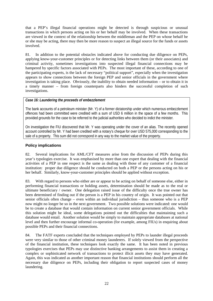that a PEP's illegal financial operations might be detected is through suspicious or unusual transactions in which persons acting on his or her behalf may be involved. When these transactions are viewed in the context of the relationship between the middleman and the PEP on whose behalf he or she may be acting, there may then be more reason to suspect an illegal source for the funds or assets involved.

81. In addition to the potential obstacles indicated above for conducting due diligence on PEPs, applying know-your-customer principles or for detecting links between them (or their associates) and criminal activity, sometimes investigations into suspected illegal financial connections may be hampered by specific factors associated with PEPs. The most important of these, according to one of the participating experts, is the lack of necessary "political support", especially when the investigation appears to show connections between the foreign PEP and senior officials in the government where investigation is taking place. Obviously, the inability to obtain needed information – or to obtain it in a timely manner – from foreign counterparts also hinders the successful completion of such investigations.

#### *Case 16: Laundering the proceeds of embezzlement*

The bank accounts of a petroleum minister (Mr. Y) of a former dictatorship under which numerous embezzlement offences had been committed were credited with a sum of USD 6 million in the space of a few months. This provided grounds for the case to be referred to the judicial authorities who decided to indict the minister.

On investigation the FIU discovered that Mr. Y was operating under the cover of an alias. The recently opened account controlled by Mr. Y had been credited with a notary's cheque for over USD 575,000 corresponding to the sale of a property. This sum did not correspond in any way to the market value of the property.

#### **Policy implications**

82. Several implications for AML/CFT measures arise from the discussion of PEPs during this year's typologies exercise. It was emphasised by more than one expert that dealing with the financial activities of a PEP in one respect is the same as dealing with those of any customer of a financial institution: proper due diligence should be conducted on both a PEP or the persons acting on his or her behalf. Similarly, know-your-customer principles should be applied without exception.

83. With regard to persons who either are or appear to be acting on behalf of someone else, either in performing financial transactions or holding assets, determination should be made as to the real or ultimate beneficiary / owner. One delegation raised issue of the difficulty once the true owner has been determined of finding out if the person is a PEP in his country of origin. It was pointed out that senior officials often change – even within an individual jurisdiction – thus someone who is a PEP now might no longer be so in the next government. Two possible solutions were indicated: one would be to create a database that would contain information on current senior government officials. While this solution might be ideal, some delegations pointed out the difficulties that maintaining such a database would entail. Another solution would be simply to maintain appropriate databases at national level and then further encourage informal co-operation (for example, among FIUs) in enquiring about possible PEPs and their financial connections.

84. The FATF experts concluded that the techniques employed by PEPs to launder illegal proceeds were very similar to those of other criminal money launderers. If solely viewed from the perspective of the financial institution, these techniques look exactly the same. It has been noted in previous typologies exercises that PEPs may use distinctive banking arrangements to assist them in creating a complex or sophisticated network of transactions to protect illicit assets they may have generated. Again, this was indicated as another important reason that financial institutions should perform all the necessary due diligence on PEPs, including their obligation to report suspected cases of money laundering.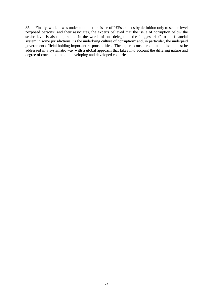85. Finally, while it was understood that the issue of PEPs extends by definition only to senior-level "exposed persons" and their associates, the experts believed that the issue of corruption below the senior level is also important. In the words of one delegation, the "biggest risk" to the financial system in some jurisdictions "is the underlying culture of corruption" and, in particular, the underpaid government official holding important responsibilities. The experts considered that this issue must be addressed in a systematic way with a global approach that takes into account the differing nature and degree of corruption in both developing and developed countries.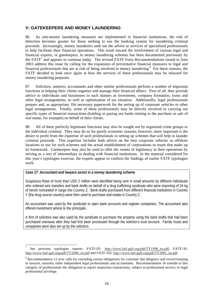# **V: GATEKEEPERS AND MONEY LAUNDERING**

86. As anti-money laundering measures are implemented in financial institutions, the risk of detection becomes greater for those seeking to use the banking system for laundering criminal proceeds. Increasingly, money launderers seek out the advice or services of specialised professionals to help facilitate their financial operations. This trend toward the involvement of various legal and financial experts, or gatekeepers, in money laundering schemes has been documented previously by the FATF<sup>7</sup> and appears to continue today. The revised FATF Forty Recommendations issued in June 2003 address this issue by calling for the expansion of preventative financial measures to legal and financial professionals that are at risk of being involved in money laundering.<sup>8</sup> For these reasons, the FATF decided to look once again at how the services of these professionals may be misused for money laundering purposes.

87. Solicitors, notaries, accountants and other similar professionals perform a number of important functions in helping their clients organise and manage their financial affairs. First of all, they provide advice to individuals and businesses in such matters as investment, company formation, trusts and other legal arrangements, as well as optimisation of tax situation. Additionally, legal professionals prepare and, as appropriate, file necessary paperwork for the setting up of corporate vehicles or other legal arrangements. Finally, some of these professionals may be directly involved in carrying out specific types of financial transactions (holding or paying out funds relating to the purchase or sale of real estate, for example) on behalf of their clients.

88. All of these perfectly legitimate functions may also be sought out by organised crime groups or the individual criminal. They may do so for purely economic reasons; however, more important is the desire to profit from the expertise of such professionals in setting up schemes that will help to launder criminal proceeds. This expertise includes both advice on the best corporate vehicles or offshore locations to use for such schemes and the actual establishment of corporations or trusts that make up its framework. Gatekeepers may also be used to offer the veneer of legitimacy to their operations by serving as a sort of intermediary in dealing with financial institutions. In the material considered for this year's typologies exercise, the experts appear to confirm the findings of earlier FATF typologies work.

#### *Case 17: Accountant and lawyers assist in a money laundering scheme*

 $\overline{a}$ 

Suspicious flows of more than USD 2 million were identified being sent in small amounts by different individuals who ordered wire transfers and bank drafts on behalf of a drug trafficking syndicate who were importing of 24 kg of heroin concealed in cargo into Country Z. Bank drafts purchased from different financial institutions in Country Y (the drug source country) were then used to purchase real estate in Country Z.

An accountant was used by the syndicate to open bank accounts and register companies. The accountant also offered investment advice to the principals.

A firm of solicitors was also used by the syndicate to purchase the property using the bank drafts that had been purchased overseas after they had first been processed through the solicitor's trust account. Family trusts and companies were also set up by the solicitors

<sup>7</sup> See previous typologies reports: FATF-IX: http://www.fatf-gafi.org/pdf/TY1998 en.pdf, FATF-XI: http://www.fatf-gafi.org/pdf/TY2000\_en.pdf and FATF-XII: http://www.fatf-gafi.org/pdf/TY2001\_en.pdf

<sup>&</sup>lt;sup>8</sup> Recommendation 12 now calls for extending certain obligations for customer due diligence and record keeping to lawyers, notaries, other independent legal professionals and accountants. Recommendation 16 extends to this category of professionals the obligation to report suspicious transactions, subject to professional secrecy or legal professional privilege.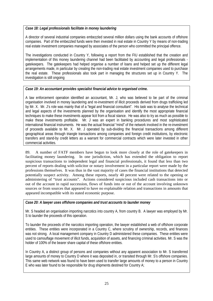#### *Case 18: Legal professionals facilitate in money laundering*

A director of several industrial companies embezzled several million dollars using the bank accounts of offshore companies. Part of the embezzled funds were then invested in real estate in Country Y by means of non-trading real estate investment companies managed by associates of the person who committed the principal offence.

The investigations conducted in Country Y, following a report from the FIU established that the creation and implementation of this money laundering channel had been facilitated by accounting and legal professionals gatekeepers. The gatekeepers had helped organise a number of loans and helped set up the different legal arrangements made, in particular by creating the non-trading real estate investment companies used to purchase the real estate. These professionals also took part in managing the structures set up in Country Y. The investigation is still ongoing

#### *Case 19: An accountant provides specialist financial advice to organised crime.*

A law enforcement operation identified an accountant, Mr. J, who was believed to be part of the criminal organisation involved in money laundering and re-investment of illicit proceeds derived from drugs trafficking led by Mr. X. Mr. J's role was mainly that of a "legal and financial consultant". His task was to analyse the technical and legal aspects of the investments planned by the organisation and identify the most appropriate financial techniques to make these investments appear licit from a fiscal stance. He was also to try as much as possible to make these investments profitable. Mr. J was an expert in banking procedures and most sophisticated international financial instruments. He was the actual financial "mind" of the network involved in the re-investment of proceeds available to Mr. X. Mr. J operated by sub-dividing the financial transactions among different geographical areas through triangle transactions among companies and foreign credit institutions, by electronic transfers and stand-by credit letters as a warrant for commercial contracts which were later invested in other commercial activities.

89. A number of FATF members have begun to look more closely at the role of gatekeepers in facilitating money laundering. In one jurisdiction, which has extended the obligation to report suspicious transactions to independent legal and financial professionals, it found that less than two percent of reports dealing with solicitor or notary involvement in a particular report were made by the professions themselves. It was thus in the vast majority of cases the financial institutions that detected potentially suspect activity. Among these reports, nearly 40 percent were related to the opening or administering of "trust accounts". Actions considered suspicious included cash transactions into or out of the account in rapid succession, flows of funds into or out of the account involving unknown sources or from sources that appeared to have no explainable relation and transactions in amounts that appeared incompatible with its stated economic purpose.

#### *Case 20: A lawyer uses offshore companies and trust accounts to launder money*

Mr. S headed an organisation importing narcotics into country A, from country B. A lawyer was employed by Mr. S to launder the proceeds of this operation.

To launder the proceeds of the narcotics importing operation, the lawyer established a web of offshore corporate entities. These entities were incorporated in a Country C, where scrutiny of ownership, records, and finances was not strong. A local management company in Country D administered these companies. These entities were used to camouflage movement of illicit funds, acquisition of assets, and financing criminal activities. Mr. S was the holder of 100% of the bearer share capital of these offshore entities.

In Country A, a distinct group of persons and companies without any apparent association to Mr. S transferred large amounts of money to Country D where it was deposited in, or transited through Mr. S's offshore companies. This same web network was found to have been used to transfer large amounts of money to a person in Country E who was later found to be responsible for drug shipments destined for Country A;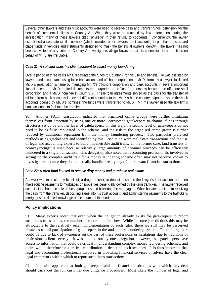Several other lawyers and their trust accounts were used to receive cash and transfer funds, ostensibly for the benefit of commercial clients in Country A. When they were approached by law enforcement during the investigation, many of these lawyers cited "privilege" in their refusal to cooperate. Concurrently, the lawyer established a separate similar network (which included other lawyers' trust accounts) to purchase assets and place funds in vehicles and instruments designed to mask the beneficial owner's identity. The lawyer has not been convicted of any crime in Country A. Investigators allege however that his connection to and actions on behalf of Mr. S are irrefutable.

# *Case 21: A solicitor uses his client account to assist money laundering*

Over a period of three years Mr X repatriated the funds to Country Y for his use and benefit. He was assisted by lawyers and accountants using false transactions and offshore corporations. Mr. Y, formerly a lawyer, facilitated Mr. X's repatriation scheme by managing Mr. X's off-shore corporation and bank accounts in several important financial centres. Mr. Y drafted documents that purported to be "loan" agreements between the off-shore shell corporation and a Mr. X nominee in Country Y. These loan agreements served as the basis for the transfer of millions from bank accounts in several different countries to the Mr. X's home country. Upon arrival in the bank accounts opened by Mr. X's nominee, the funds were transferred to Mr. X. Mr. Y's lawyer used the law firm's bank accounts to facilitate the transfers

90. Another FATF jurisdiction indicated that organised crime groups were further insulating themselves from detection by using one or more "corrupted" gatekeepers to channel funds through structures set up by another layer of gatekeepers. In this way, the second level of gatekeepers do not need to be as fully implicated in the scheme, and the risk to the organised crime group is further reduced by additional separation from the money laundering process. Two particular preferred methods using gatekeepers and identified by this jurisdiction were real estate transactions and the use of legal and accounting experts to build impenetrable audit trails. In the former case, land transfers or "conveyancing" is used because relatively large amounts of criminal proceeds can be efficiently laundered in a single transaction. This delegation also noted that accounting professionals involved in setting up the complex audit trail for a money laundering scheme often may not become known to investigators because they do not actually handle directly any of the relevant financial transactions.

#### *Case 22: A trust fund is used to receive dirty money and purchase real estate*

A lawyer was instructed by his client, a drug trafficker, to deposit cash into the lawyer's trust account and then make routine payments to mortgages on properties beneficially owned by the drug trafficker. The lawyer received commissions from the sale of these properties and brokering the mortgages. While he later admitted to receiving the cash from the trafficker, depositing same into his trust account, and administering payments to the trafficker's mortgages, he denied knowledge of the source of the funds

# **Policy implications**

91. Many experts noted that even when the obligation already exists for gatekeepers to report suspicious transactions, the number of reports is often low. While in some jurisdictions this may be attributable to the relatively recent implementation of such rules, there are still may be perceived obstacles to full participation of gatekeepers in the anti-money laundering system. This in large part could be due to lack of awareness on the part of these professions or hesitations due to traditions of professional client secrecy. It was pointed out by one delegation, however, that gatekeepers have access to information that could be critical in understanding complex money laundering schemes, and theirs would therefore be a critical contribution in detecting such schemes. It is thus important that legal and accounting professionals involved in providing financial services or advice have the clear legal framework within which to report suspicious transactions.

92. It is also apparent that both gatekeepers and the financial institutions with which they deal should carry out the full customer due diligence procedures. Most likely the number of legal and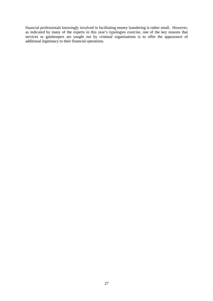financial professionals knowingly involved in facilitating money laundering is rather small. However, as indicated by many of the experts in this year's typologies exercise, one of the key reasons that services or gatekeepers are sought out by criminal organisations is to offer the appearance of additional legitimacy to their financial operations.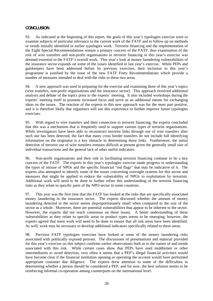#### **CONCLUSION**

93. As indicated at the beginning of this report, the goals of this year's typologies exercise were to examine subjects of particular relevance to the current work of the FATF and to follow up on methods or trends initially identified in earlier typologies work. Terrorist financing and the implementation of the Eight Special Recommendations remain a primary concern of the FATF, thus examination of the role of wire transfers and non-profit organisations in terrorist financing in this year's exercise was deemed essential to the FATF's overall work. This year's look at money laundering vulnerabilities of the insurance sector expands on some of the issues identified in last year's exercise. While PEPs and gatekeepers have been addressed before by previous exercises, their inclusion in this year's programme is justified by the issue of the new FATF Forty Recommendations which provide a number of measures intended to deal with the risks in these two areas.

94. A new approach was used in preparing for the exercise and examining three of this year's topics (wire transfers, non-profit organisations and the insurance sector). This approach involved additional analysis and debate of the topics prior to the experts' meeting. It also included workshops during the experts' meeting itself to promote increased focus and serve as an additional means for exchanging ideas on the issues. The reaction of the experts to this new approach was for the most part positive, and it is therefore likely that organisers will use this experience to further improve future typologies exercises.

95. With regard to wire transfers and their connection to terrorist financing, the experts concluded that this was a mechanism that is frequently used to support various types of terrorist organisations. While investigators have been able to reconstruct terrorist links through use of wire transfers after such use has been detected, the fact that many cross border transfers do not include full identifying information on the originator is a key obstacle in determining those links. Furthermore, the initial detection of terrorist use of wire transfers remains difficult at present given the generally small size of individual transactions and the general lack of other useful indicators.

96. Non-profit organisations and their role in facilitating terrorist financing continue to be a key concern of the FATF. The experts in this year's typologies exercise made progress in understanding the types of misuse of NPOs and the specific financial "red flags" that may be indicative of it. The experts also attempted to identify some of the issues concerning oversight systems for this sector and measures that might be applied to reduce the vulnerability of NPOs to exploitation by terrorists. Additional work will need to be done to further refine this understanding of the terrorist financing risks as they relate to specific parts of the NPO sector in some countries.

97. This year was the first time that the FATF has looked at the risks that are specifically associated money laundering in the insurance sector. The experts discussed whether the amount of money laundering detected in the sector seems disproportionately small when compared to the size of the sector as a whole. Moreover, there are potential vulnerabilities that appear to be inherent to the sector. However, the experts did not reach consensus on these issues. A better understanding of these vulnerabilities as they relate to specific areas or product types seems to be emerging; however, the experts agreed that more work will need to be done to ensure that all risk areas have been identified. As well, work may be necessary to develop additional indicators specifically related to these areas.

98. Previous FATF typologies exercises have looked at some of the money laundering risks associated with politically exposed persons. The discussions of presentations and material provided for this year's exercise on this subject confirms earlier observations both as to the nature of and trends associated with this risk. While certain cases show that PEPs have used middlemen or other intermediaries to avoid detection, very often it seems that a PEP's illegal financial activities would have become clear if the financial institution opening or operating the account would have performed appropriate customer due diligence. The experts drew attention to some of the difficulties in determining whether a person should be considered a PEP, and for now, the best solution seems to be reinforcing informal co-operation among counterparts on the international level.